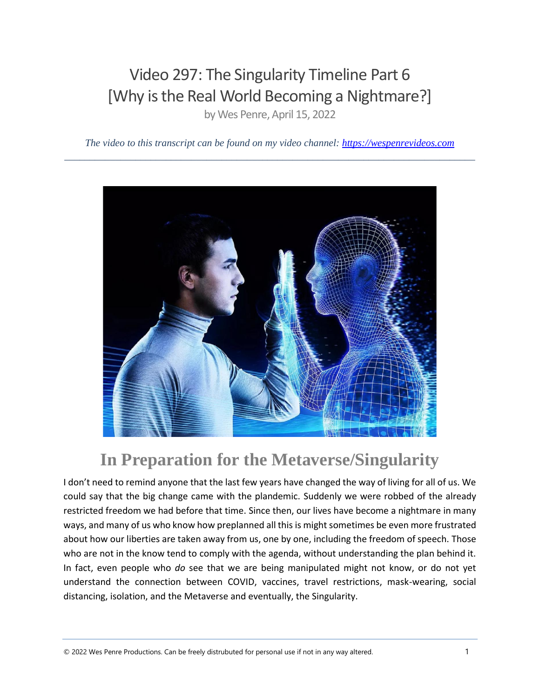### Video 297: The Singularity Timeline Part 6 [Why is the Real World Becoming a Nightmare?]

by Wes Penre, April 15, 2022

*The video to this transcript can be found on my video channel: [https://wespenrevideos.com](https://wespenrevideos.com/)  \_\_\_\_\_\_\_\_\_\_\_\_\_\_\_\_\_\_\_\_\_\_\_\_\_\_\_\_\_\_\_\_\_\_\_\_\_\_\_\_\_\_\_\_\_\_\_\_\_\_\_\_\_\_\_\_\_\_\_\_\_\_\_\_\_\_\_\_\_\_\_\_\_\_\_\_\_\_\_\_\_*



# **In Preparation for the Metaverse/Singularity**

I don't need to remind anyone that the last few years have changed the way of living for all of us. We could say that the big change came with the plandemic. Suddenly we were robbed of the already restricted freedom we had before that time. Since then, our lives have become a nightmare in many ways, and many of us who know how preplanned all this is might sometimes be even more frustrated about how our liberties are taken away from us, one by one, including the freedom of speech. Those who are not in the know tend to comply with the agenda, without understanding the plan behind it. In fact, even people who *do* see that we are being manipulated might not know, or do not yet understand the connection between COVID, vaccines, travel restrictions, mask-wearing, social distancing, isolation, and the Metaverse and eventually, the Singularity.

© <sup>2022</sup> Wes Penre Productions. Can be freely distrubuted for personal use if not in any way altered. 1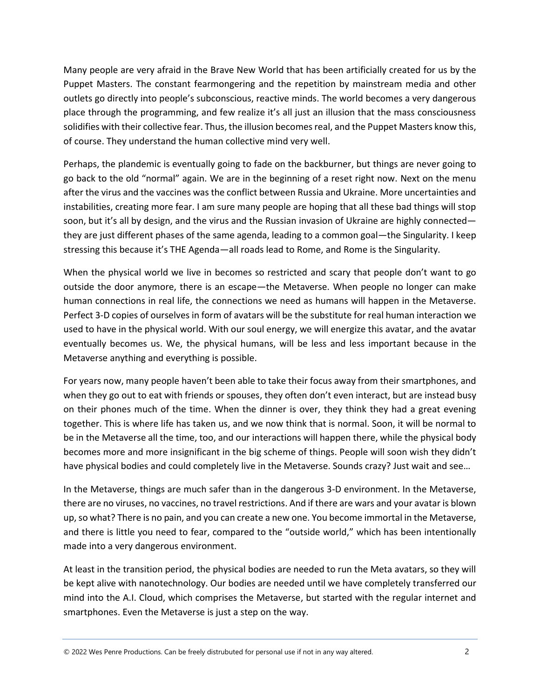Many people are very afraid in the Brave New World that has been artificially created for us by the Puppet Masters. The constant fearmongering and the repetition by mainstream media and other outlets go directly into people's subconscious, reactive minds. The world becomes a very dangerous place through the programming, and few realize it's all just an illusion that the mass consciousness solidifies with their collective fear. Thus, the illusion becomes real, and the Puppet Masters know this, of course. They understand the human collective mind very well.

Perhaps, the plandemic is eventually going to fade on the backburner, but things are never going to go back to the old "normal" again. We are in the beginning of a reset right now. Next on the menu after the virus and the vaccines was the conflict between Russia and Ukraine. More uncertainties and instabilities, creating more fear. I am sure many people are hoping that all these bad things will stop soon, but it's all by design, and the virus and the Russian invasion of Ukraine are highly connected they are just different phases of the same agenda, leading to a common goal—the Singularity. I keep stressing this because it's THE Agenda—all roads lead to Rome, and Rome is the Singularity.

When the physical world we live in becomes so restricted and scary that people don't want to go outside the door anymore, there is an escape—the Metaverse. When people no longer can make human connections in real life, the connections we need as humans will happen in the Metaverse. Perfect 3-D copies of ourselves in form of avatars will be the substitute for real human interaction we used to have in the physical world. With our soul energy, we will energize this avatar, and the avatar eventually becomes us. We, the physical humans, will be less and less important because in the Metaverse anything and everything is possible.

For years now, many people haven't been able to take their focus away from their smartphones, and when they go out to eat with friends or spouses, they often don't even interact, but are instead busy on their phones much of the time. When the dinner is over, they think they had a great evening together. This is where life has taken us, and we now think that is normal. Soon, it will be normal to be in the Metaverse all the time, too, and our interactions will happen there, while the physical body becomes more and more insignificant in the big scheme of things. People will soon wish they didn't have physical bodies and could completely live in the Metaverse. Sounds crazy? Just wait and see...

In the Metaverse, things are much safer than in the dangerous 3-D environment. In the Metaverse, there are no viruses, no vaccines, no travel restrictions. And if there are wars and your avatar is blown up, so what? There is no pain, and you can create a new one. You become immortal in the Metaverse, and there is little you need to fear, compared to the "outside world," which has been intentionally made into a very dangerous environment.

At least in the transition period, the physical bodies are needed to run the Meta avatars, so they will be kept alive with nanotechnology. Our bodies are needed until we have completely transferred our mind into the A.I. Cloud, which comprises the Metaverse, but started with the regular internet and smartphones. Even the Metaverse is just a step on the way.

© <sup>2022</sup> Wes Penre Productions. Can be freely distrubuted for personal use if not in any way altered. 2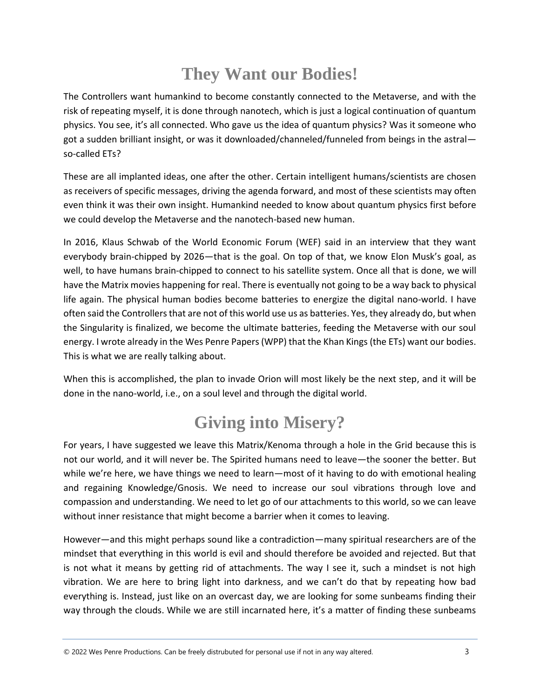# **They Want our Bodies!**

The Controllers want humankind to become constantly connected to the Metaverse, and with the risk of repeating myself, it is done through nanotech, which is just a logical continuation of quantum physics. You see, it's all connected. Who gave us the idea of quantum physics? Was it someone who got a sudden brilliant insight, or was it downloaded/channeled/funneled from beings in the astral so-called ETs?

These are all implanted ideas, one after the other. Certain intelligent humans/scientists are chosen as receivers of specific messages, driving the agenda forward, and most of these scientists may often even think it was their own insight. Humankind needed to know about quantum physics first before we could develop the Metaverse and the nanotech-based new human.

In 2016, Klaus Schwab of the World Economic Forum (WEF) said in an interview that they want everybody brain-chipped by 2026—that is the goal. On top of that, we know Elon Musk's goal, as well, to have humans brain-chipped to connect to his satellite system. Once all that is done, we will have the Matrix movies happening for real. There is eventually not going to be a way back to physical life again. The physical human bodies become batteries to energize the digital nano-world. I have often said the Controllers that are not of this world use us as batteries. Yes, they already do, but when the Singularity is finalized, we become the ultimate batteries, feeding the Metaverse with our soul energy. I wrote already in the Wes Penre Papers (WPP) that the Khan Kings (the ETs) want our bodies. This is what we are really talking about.

When this is accomplished, the plan to invade Orion will most likely be the next step, and it will be done in the nano-world, i.e., on a soul level and through the digital world.

# **Giving into Misery?**

For years, I have suggested we leave this Matrix/Kenoma through a hole in the Grid because this is not our world, and it will never be. The Spirited humans need to leave—the sooner the better. But while we're here, we have things we need to learn—most of it having to do with emotional healing and regaining Knowledge/Gnosis. We need to increase our soul vibrations through love and compassion and understanding. We need to let go of our attachments to this world, so we can leave without inner resistance that might become a barrier when it comes to leaving.

However—and this might perhaps sound like a contradiction—many spiritual researchers are of the mindset that everything in this world is evil and should therefore be avoided and rejected. But that is not what it means by getting rid of attachments. The way I see it, such a mindset is not high vibration. We are here to bring light into darkness, and we can't do that by repeating how bad everything is. Instead, just like on an overcast day, we are looking for some sunbeams finding their way through the clouds. While we are still incarnated here, it's a matter of finding these sunbeams

© <sup>2022</sup> Wes Penre Productions. Can be freely distrubuted for personal use if not in any way altered. 3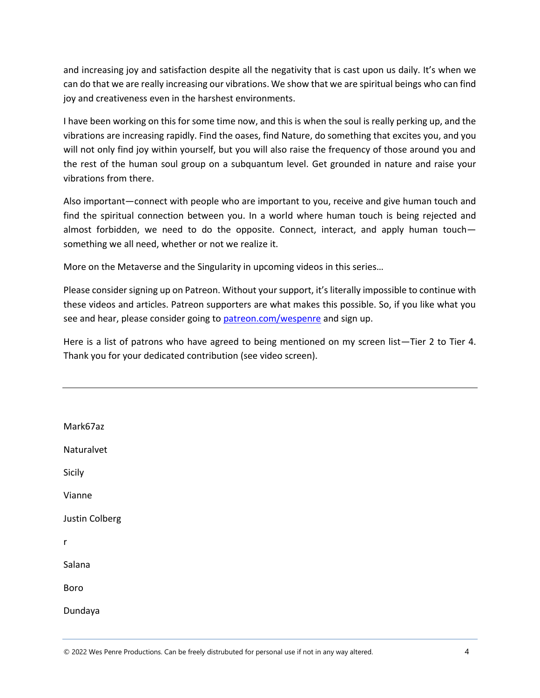and increasing joy and satisfaction despite all the negativity that is cast upon us daily. It's when we can do that we are really increasing our vibrations. We show that we are spiritual beings who can find joy and creativeness even in the harshest environments.

I have been working on this for some time now, and this is when the soul is really perking up, and the vibrations are increasing rapidly. Find the oases, find Nature, do something that excites you, and you will not only find joy within yourself, but you will also raise the frequency of those around you and the rest of the human soul group on a subquantum level. Get grounded in nature and raise your vibrations from there.

Also important—connect with people who are important to you, receive and give human touch and find the spiritual connection between you. In a world where human touch is being rejected and almost forbidden, we need to do the opposite. Connect, interact, and apply human touch something we all need, whether or not we realize it.

More on the Metaverse and the Singularity in upcoming videos in this series…

Please consider signing up on Patreon. Without your support, it's literally impossible to continue with these videos and articles. Patreon supporters are what makes this possible. So, if you like what you see and hear, please consider going to [patreon.com/wespenre](file:///C:/Users/wespe/Documents/YouTube%20Project/Transcripts%20WORD%20and%20PDF/patreon.com/wespenre) and sign up.

Here is a list of patrons who have agreed to being mentioned on my screen list—Tier 2 to Tier 4. Thank you for your dedicated contribution (see video screen).

Mark67az Naturalvet Sicily Vianne Justin Colberg r Salana Boro Dundaya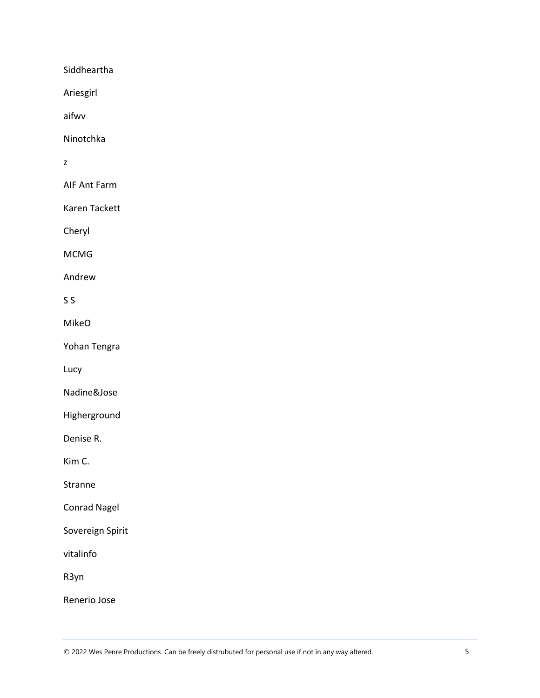**Siddheartha** 

Ariesgirl

aifwv

Ninotchka

z

AIF Ant Farm

Karen Tackett

Cheryl

MCMG

Andrew

#### S S

MikeO

Yohan Tengra

Lucy

Nadine&Jose

Higherground

Denise R.

Kim C.

Stranne

Conrad Nagel

Sovereign Spirit

vitalinfo

R3yn

Renerio Jose